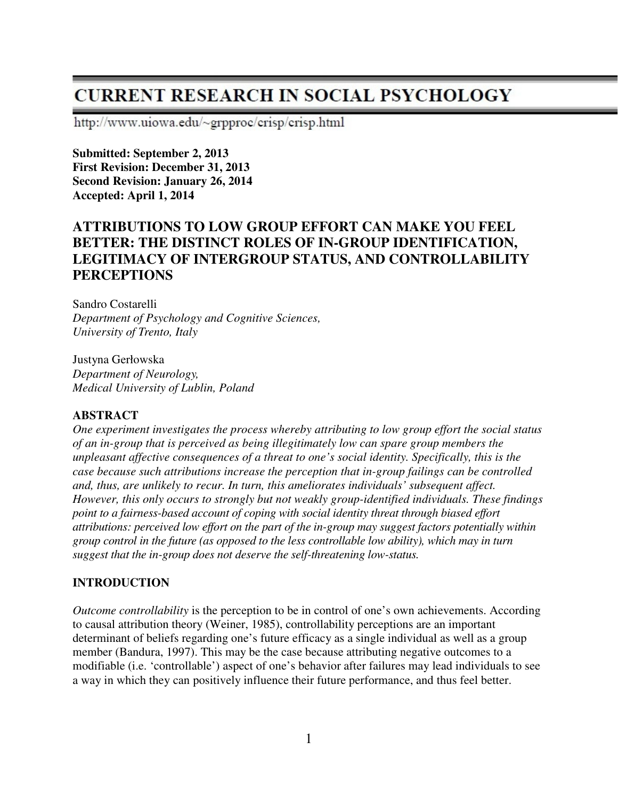# **CURRENT RESEARCH IN SOCIAL PSYCHOLOGY**

http://www.uiowa.edu/~grpproc/crisp/crisp.html

**Submitted: September 2, 2013 First Revision: December 31, 2013 Second Revision: January 26, 2014 Accepted: April 1, 2014** 

# **ATTRIBUTIONS TO LOW GROUP EFFORT CAN MAKE YOU FEEL BETTER: THE DISTINCT ROLES OF IN-GROUP IDENTIFICATION, LEGITIMACY OF INTERGROUP STATUS, AND CONTROLLABILITY PERCEPTIONS**

Sandro Costarelli *Department of Psychology and Cognitive Sciences, University of Trento, Italy* 

Justyna Gerłowska *Department of Neurology, Medical University of Lublin, Poland* 

#### **ABSTRACT**

*One experiment investigates the process whereby attributing to low group effort the social status of an in-group that is perceived as being illegitimately low can spare group members the unpleasant affective consequences of a threat to one's social identity. Specifically, this is the case because such attributions increase the perception that in-group failings can be controlled and, thus, are unlikely to recur. In turn, this ameliorates individuals' subsequent affect. However, this only occurs to strongly but not weakly group-identified individuals. These findings point to a fairness-based account of coping with social identity threat through biased effort attributions: perceived low effort on the part of the in-group may suggest factors potentially within group control in the future (as opposed to the less controllable low ability), which may in turn suggest that the in-group does not deserve the self-threatening low-status.*

## **INTRODUCTION**

*Outcome controllability* is the perception to be in control of one's own achievements. According to causal attribution theory (Weiner, 1985), controllability perceptions are an important determinant of beliefs regarding one's future efficacy as a single individual as well as a group member (Bandura, 1997). This may be the case because attributing negative outcomes to a modifiable (i.e. 'controllable') aspect of one's behavior after failures may lead individuals to see a way in which they can positively influence their future performance, and thus feel better.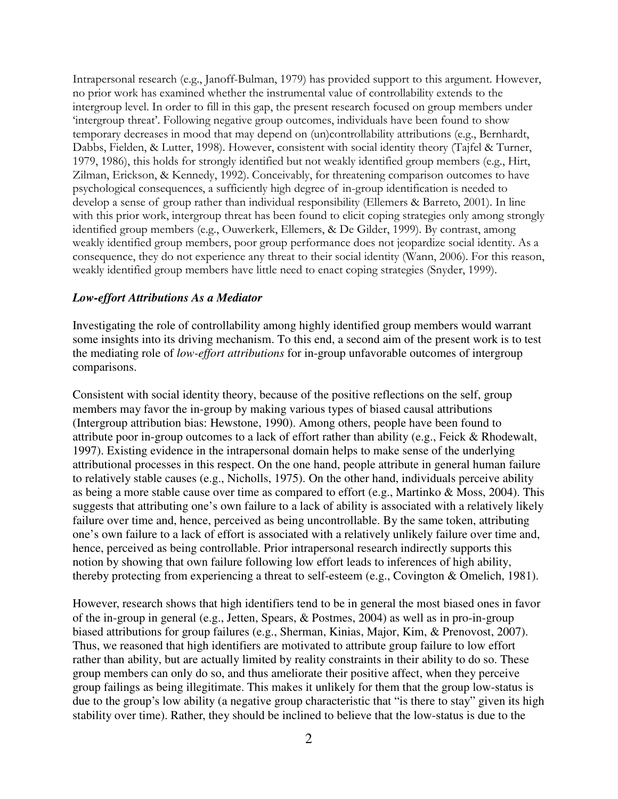Intrapersonal research (e.g., Janoff-Bulman, 1979) has provided support to this argument. However, no prior work has examined whether the instrumental value of controllability extends to the intergroup level. In order to fill in this gap, the present research focused on group members under 'intergroup threat'. Following negative group outcomes, individuals have been found to show temporary decreases in mood that may depend on (un)controllability attributions (e.g., Bernhardt, Dabbs, Fielden, & Lutter, 1998). However, consistent with social identity theory (Tajfel & Turner, 1979, 1986), this holds for strongly identified but not weakly identified group members (e.g., Hirt, Zilman, Erickson, & Kennedy, 1992). Conceivably, for threatening comparison outcomes to have psychological consequences, a sufficiently high degree of in-group identification is needed to develop a sense of group rather than individual responsibility (Ellemers & Barreto, 2001). In line with this prior work, intergroup threat has been found to elicit coping strategies only among strongly identified group members (e.g., Ouwerkerk, Ellemers, & De Gilder, 1999). By contrast, among weakly identified group members, poor group performance does not jeopardize social identity. As a consequence, they do not experience any threat to their social identity (Wann, 2006). For this reason, weakly identified group members have little need to enact coping strategies (Snyder, 1999).

#### *Low-effort Attributions As a Mediator*

Investigating the role of controllability among highly identified group members would warrant some insights into its driving mechanism. To this end, a second aim of the present work is to test the mediating role of *low-effort attributions* for in-group unfavorable outcomes of intergroup comparisons.

Consistent with social identity theory, because of the positive reflections on the self, group members may favor the in-group by making various types of biased causal attributions (Intergroup attribution bias: Hewstone, 1990). Among others, people have been found to attribute poor in-group outcomes to a lack of effort rather than ability (e.g., Feick & Rhodewalt, 1997). Existing evidence in the intrapersonal domain helps to make sense of the underlying attributional processes in this respect. On the one hand, people attribute in general human failure to relatively stable causes (e.g., Nicholls, 1975). On the other hand, individuals perceive ability as being a more stable cause over time as compared to effort (e.g., Martinko & Moss, 2004). This suggests that attributing one's own failure to a lack of ability is associated with a relatively likely failure over time and, hence, perceived as being uncontrollable. By the same token, attributing one's own failure to a lack of effort is associated with a relatively unlikely failure over time and, hence, perceived as being controllable. Prior intrapersonal research indirectly supports this notion by showing that own failure following low effort leads to inferences of high ability, thereby protecting from experiencing a threat to self-esteem (e.g., Covington & Omelich, 1981).

However, research shows that high identifiers tend to be in general the most biased ones in favor of the in-group in general (e.g., Jetten, Spears, & Postmes, 2004) as well as in pro-in-group biased attributions for group failures (e.g., Sherman, Kinias, Major, Kim, & Prenovost, 2007). Thus, we reasoned that high identifiers are motivated to attribute group failure to low effort rather than ability, but are actually limited by reality constraints in their ability to do so. These group members can only do so, and thus ameliorate their positive affect, when they perceive group failings as being illegitimate. This makes it unlikely for them that the group low-status is due to the group's low ability (a negative group characteristic that "is there to stay" given its high stability over time). Rather, they should be inclined to believe that the low-status is due to the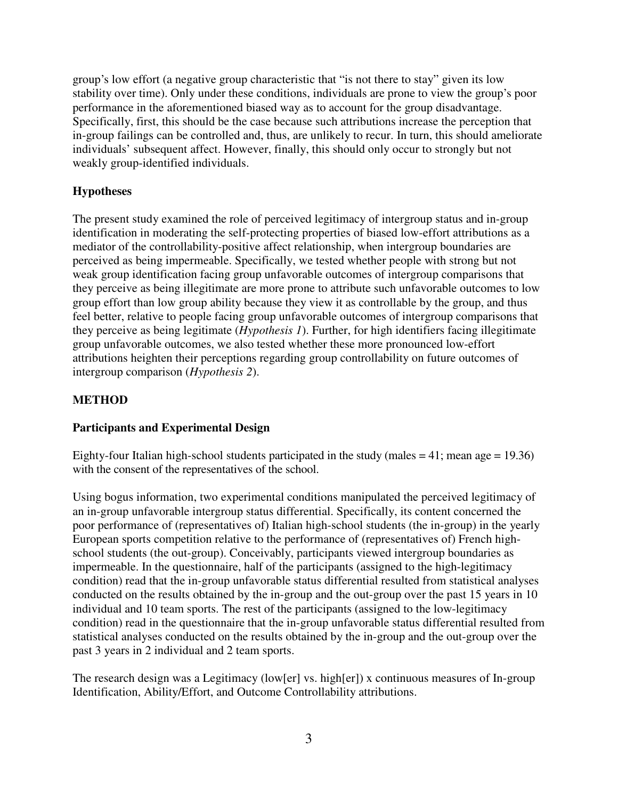group's low effort (a negative group characteristic that "is not there to stay" given its low stability over time). Only under these conditions, individuals are prone to view the group's poor performance in the aforementioned biased way as to account for the group disadvantage. Specifically, first, this should be the case because such attributions increase the perception that in-group failings can be controlled and, thus, are unlikely to recur. In turn, this should ameliorate individuals' subsequent affect. However, finally, this should only occur to strongly but not weakly group-identified individuals.

## **Hypotheses**

The present study examined the role of perceived legitimacy of intergroup status and in-group identification in moderating the self-protecting properties of biased low-effort attributions as a mediator of the controllability-positive affect relationship, when intergroup boundaries are perceived as being impermeable. Specifically, we tested whether people with strong but not weak group identification facing group unfavorable outcomes of intergroup comparisons that they perceive as being illegitimate are more prone to attribute such unfavorable outcomes to low group effort than low group ability because they view it as controllable by the group, and thus feel better, relative to people facing group unfavorable outcomes of intergroup comparisons that they perceive as being legitimate (*Hypothesis 1*). Further, for high identifiers facing illegitimate group unfavorable outcomes, we also tested whether these more pronounced low-effort attributions heighten their perceptions regarding group controllability on future outcomes of intergroup comparison (*Hypothesis 2*).

## **METHOD**

## **Participants and Experimental Design**

Eighty-four Italian high-school students participated in the study (males  $= 41$ ; mean age  $= 19.36$ ) with the consent of the representatives of the school.

Using bogus information, two experimental conditions manipulated the perceived legitimacy of an in-group unfavorable intergroup status differential. Specifically, its content concerned the poor performance of (representatives of) Italian high-school students (the in-group) in the yearly European sports competition relative to the performance of (representatives of) French highschool students (the out-group). Conceivably, participants viewed intergroup boundaries as impermeable. In the questionnaire, half of the participants (assigned to the high-legitimacy condition) read that the in-group unfavorable status differential resulted from statistical analyses conducted on the results obtained by the in-group and the out-group over the past 15 years in 10 individual and 10 team sports. The rest of the participants (assigned to the low-legitimacy condition) read in the questionnaire that the in-group unfavorable status differential resulted from statistical analyses conducted on the results obtained by the in-group and the out-group over the past 3 years in 2 individual and 2 team sports.

The research design was a Legitimacy (low[er] vs. high[er]) x continuous measures of In-group Identification, Ability/Effort, and Outcome Controllability attributions.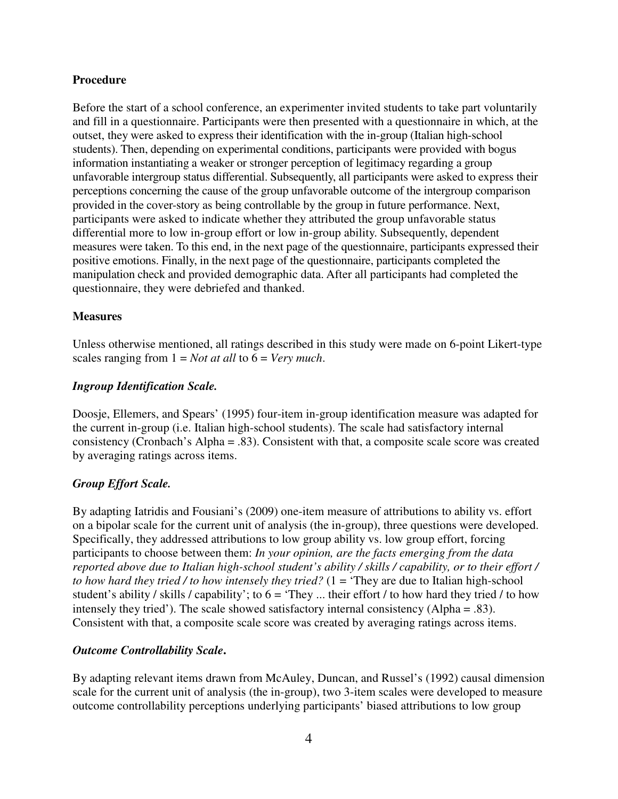#### **Procedure**

Before the start of a school conference, an experimenter invited students to take part voluntarily and fill in a questionnaire. Participants were then presented with a questionnaire in which, at the outset, they were asked to express their identification with the in-group (Italian high-school students). Then, depending on experimental conditions, participants were provided with bogus information instantiating a weaker or stronger perception of legitimacy regarding a group unfavorable intergroup status differential. Subsequently, all participants were asked to express their perceptions concerning the cause of the group unfavorable outcome of the intergroup comparison provided in the cover-story as being controllable by the group in future performance. Next, participants were asked to indicate whether they attributed the group unfavorable status differential more to low in-group effort or low in-group ability. Subsequently, dependent measures were taken. To this end, in the next page of the questionnaire, participants expressed their positive emotions. Finally, in the next page of the questionnaire, participants completed the manipulation check and provided demographic data. After all participants had completed the questionnaire, they were debriefed and thanked.

## **Measures**

Unless otherwise mentioned, all ratings described in this study were made on 6-point Likert-type scales ranging from 1 = *Not at all* to 6 = *Very much*.

## *Ingroup Identification Scale.*

Doosje, Ellemers, and Spears' (1995) four-item in-group identification measure was adapted for the current in-group (i.e. Italian high-school students). The scale had satisfactory internal consistency (Cronbach's Alpha = .83). Consistent with that, a composite scale score was created by averaging ratings across items.

## *Group Effort Scale.*

By adapting Iatridis and Fousiani's (2009) one-item measure of attributions to ability vs. effort on a bipolar scale for the current unit of analysis (the in-group), three questions were developed. Specifically, they addressed attributions to low group ability vs. low group effort, forcing participants to choose between them: *In your opinion, are the facts emerging from the data reported above due to Italian high-school student's ability / skills / capability, or to their effort / to how hard they tried / to how intensely they tried?* (1 = 'They are due to Italian high-school student's ability / skills / capability'; to  $6 = 'They \dots$  their effort / to how hard they tried / to how intensely they tried'). The scale showed satisfactory internal consistency (Alpha = .83). Consistent with that, a composite scale score was created by averaging ratings across items.

#### *Outcome Controllability Scale***.**

By adapting relevant items drawn from McAuley, Duncan, and Russel's (1992) causal dimension scale for the current unit of analysis (the in-group), two 3-item scales were developed to measure outcome controllability perceptions underlying participants' biased attributions to low group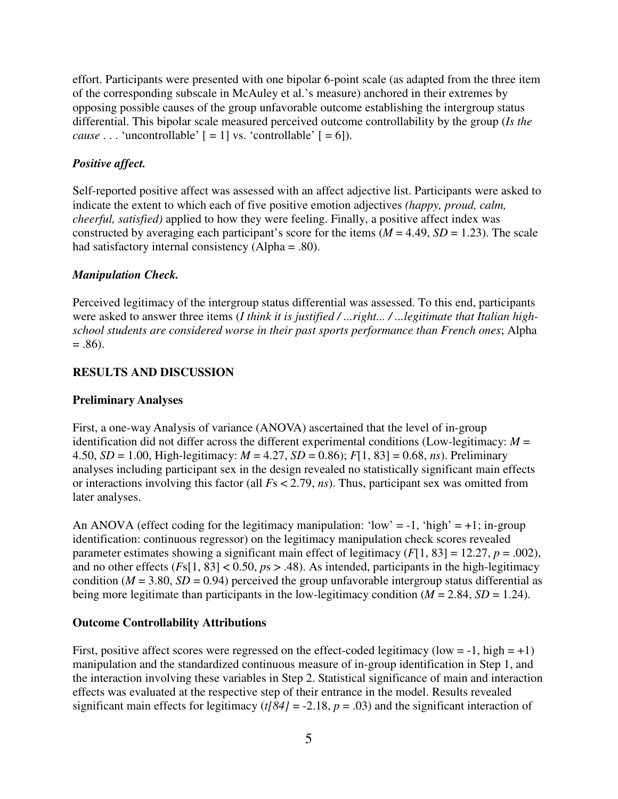effort. Participants were presented with one bipolar 6-point scale (as adapted from the three item of the corresponding subscale in McAuley et al.'s measure) anchored in their extremes by opposing possible causes of the group unfavorable outcome establishing the intergroup status differential. This bipolar scale measured perceived outcome controllability by the group (*Is the cause* . . . 'uncontrollable'  $[ = 1]$  vs. 'controllable'  $[ = 6]$ ).

## *Positive affect.*

Self-reported positive affect was assessed with an affect adjective list. Participants were asked to indicate the extent to which each of five positive emotion adjectives *(happy, proud, calm, cheerful, satisfied)* applied to how they were feeling. Finally, a positive affect index was constructed by averaging each participant's score for the items  $(M = 4.49, SD = 1.23)$ . The scale had satisfactory internal consistency (Alpha = .80).

#### *Manipulation Check.*

Perceived legitimacy of the intergroup status differential was assessed. To this end, participants were asked to answer three items (*I think it is justified / ...right... / ...legitimate that Italian highschool students are considered worse in their past sports performance than French ones*; Alpha  $= .86$ ).

## **RESULTS AND DISCUSSION**

#### **Preliminary Analyses**

First, a one-way Analysis of variance (ANOVA) ascertained that the level of in-group identification did not differ across the different experimental conditions (Low-legitimacy:  $M =$ 4.50, *SD* = 1.00, High-legitimacy: *M* = 4.27, *SD* = 0.86); *F*[1, 83] = 0.68, *ns*). Preliminary analyses including participant sex in the design revealed no statistically significant main effects or interactions involving this factor (all *F*s < 2.79, *ns*). Thus, participant sex was omitted from later analyses.

An ANOVA (effect coding for the legitimacy manipulation: 'low' = -1, 'high' = +1; in-group identification: continuous regressor) on the legitimacy manipulation check scores revealed parameter estimates showing a significant main effect of legitimacy  $(F[1, 83] = 12.27, p = .002)$ , and no other effects  $(Fs[1, 83] < 0.50, p s > .48)$ . As intended, participants in the high-legitimacy condition ( $M = 3.80$ ,  $SD = 0.94$ ) perceived the group unfavorable intergroup status differential as being more legitimate than participants in the low-legitimacy condition  $(M = 2.84, SD = 1.24)$ .

#### **Outcome Controllability Attributions**

First, positive affect scores were regressed on the effect-coded legitimacy (low =  $-1$ , high =  $+1$ ) manipulation and the standardized continuous measure of in-group identification in Step 1, and the interaction involving these variables in Step 2. Statistical significance of main and interaction effects was evaluated at the respective step of their entrance in the model. Results revealed significant main effects for legitimacy  $(t/84) = -2.18$ ,  $p = .03$ ) and the significant interaction of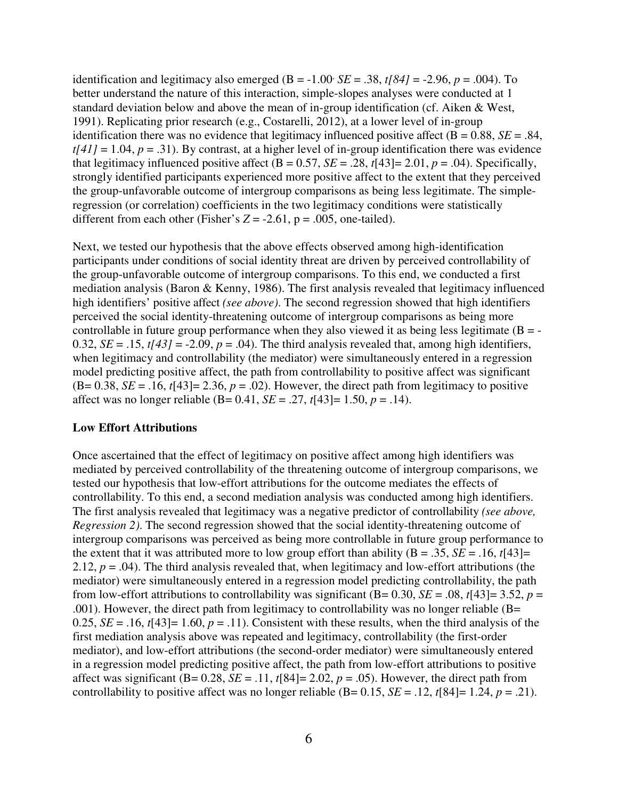identification and legitimacy also emerged ( $B = -1.00$   $SE = .38$ ,  $t[84] = -2.96$ ,  $p = .004$ ). To better understand the nature of this interaction, simple-slopes analyses were conducted at 1 standard deviation below and above the mean of in-group identification (cf. Aiken & West, 1991). Replicating prior research (e.g., Costarelli, 2012), at a lower level of in-group identification there was no evidence that legitimacy influenced positive affect  $(B = 0.88, SE = .84,$  $t[41] = 1.04$ ,  $p = .31$ ). By contrast, at a higher level of in-group identification there was evidence that legitimacy influenced positive affect  $(B = 0.57, SE = .28, t[43] = 2.01, p = .04)$ . Specifically, strongly identified participants experienced more positive affect to the extent that they perceived the group-unfavorable outcome of intergroup comparisons as being less legitimate. The simpleregression (or correlation) coefficients in the two legitimacy conditions were statistically different from each other (Fisher's  $Z = -2.61$ ,  $p = .005$ , one-tailed).

Next, we tested our hypothesis that the above effects observed among high-identification participants under conditions of social identity threat are driven by perceived controllability of the group-unfavorable outcome of intergroup comparisons. To this end, we conducted a first mediation analysis (Baron & Kenny, 1986). The first analysis revealed that legitimacy influenced high identifiers' positive affect *(see above)*. The second regression showed that high identifiers perceived the social identity-threatening outcome of intergroup comparisons as being more controllable in future group performance when they also viewed it as being less legitimate  $(B = -1)$ 0.32,  $SE = .15$ ,  $t[43] = -2.09$ ,  $p = .04$ ). The third analysis revealed that, among high identifiers, when legitimacy and controllability (the mediator) were simultaneously entered in a regression model predicting positive affect, the path from controllability to positive affect was significant  $(B= 0.38, SE = .16, t[43] = 2.36, p = .02)$ . However, the direct path from legitimacy to positive affect was no longer reliable (B= 0.41, *SE* = .27, *t*[43]= 1.50, *p* = .14).

#### **Low Effort Attributions**

Once ascertained that the effect of legitimacy on positive affect among high identifiers was mediated by perceived controllability of the threatening outcome of intergroup comparisons, we tested our hypothesis that low-effort attributions for the outcome mediates the effects of controllability. To this end, a second mediation analysis was conducted among high identifiers. The first analysis revealed that legitimacy was a negative predictor of controllability *(see above, Regression 2)*. The second regression showed that the social identity-threatening outcome of intergroup comparisons was perceived as being more controllable in future group performance to the extent that it was attributed more to low group effort than ability  $(B = .35, SE = .16, t[43]$ 2.12,  $p = .04$ ). The third analysis revealed that, when legitimacy and low-effort attributions (the mediator) were simultaneously entered in a regression model predicting controllability, the path from low-effort attributions to controllability was significant (B= 0.30, *SE* = .08,  $t[43]$ = 3.52,  $p =$ .001). However, the direct path from legitimacy to controllability was no longer reliable (B= 0.25,  $SE = .16$ ,  $t[43] = 1.60$ ,  $p = .11$ ). Consistent with these results, when the third analysis of the first mediation analysis above was repeated and legitimacy, controllability (the first-order mediator), and low-effort attributions (the second-order mediator) were simultaneously entered in a regression model predicting positive affect, the path from low-effort attributions to positive affect was significant ( $B = 0.28$ ,  $SE = .11$ ,  $t[84] = 2.02$ ,  $p = .05$ ). However, the direct path from controllability to positive affect was no longer reliable  $(B= 0.15, SE = .12, t[84] = 1.24, p = .21)$ .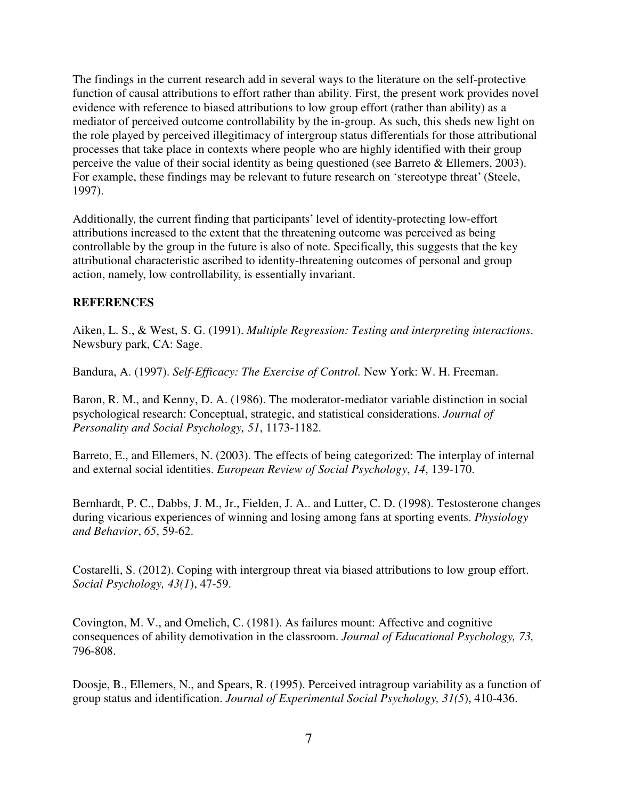The findings in the current research add in several ways to the literature on the self-protective function of causal attributions to effort rather than ability. First, the present work provides novel evidence with reference to biased attributions to low group effort (rather than ability) as a mediator of perceived outcome controllability by the in-group. As such, this sheds new light on the role played by perceived illegitimacy of intergroup status differentials for those attributional processes that take place in contexts where people who are highly identified with their group perceive the value of their social identity as being questioned (see Barreto & Ellemers, 2003). For example, these findings may be relevant to future research on 'stereotype threat' (Steele, 1997).

Additionally, the current finding that participants' level of identity-protecting low-effort attributions increased to the extent that the threatening outcome was perceived as being controllable by the group in the future is also of note. Specifically, this suggests that the key attributional characteristic ascribed to identity-threatening outcomes of personal and group action, namely, low controllability, is essentially invariant.

# **REFERENCES**

Aiken, L. S., & West, S. G. (1991). *Multiple Regression: Testing and interpreting interactions*. Newsbury park, CA: Sage.

Bandura, A. (1997). *Self-Efficacy: The Exercise of Control.* New York: W. H. Freeman.

Baron, R. M., and Kenny, D. A. (1986). The moderator-mediator variable distinction in social psychological research: Conceptual, strategic, and statistical considerations. *Journal of Personality and Social Psychology, 51*, 1173-1182.

Barreto, E., and Ellemers, N. (2003). The effects of being categorized: The interplay of internal and external social identities. *European Review of Social Psychology*, *14*, 139-170.

Bernhardt, P. C., Dabbs, J. M., Jr., Fielden, J. A.. and Lutter, C. D. (1998). Testosterone changes during vicarious experiences of winning and losing among fans at sporting events. *Physiology and Behavior*, *65*, 59-62.

Costarelli, S. (2012). Coping with intergroup threat via biased attributions to low group effort. *Social Psychology, 43(1*), 47-59.

Covington, M. V., and Omelich, C. (1981). As failures mount: Affective and cognitive consequences of ability demotivation in the classroom. *Journal of Educational Psychology, 73,* 796-808.

Doosje, B., Ellemers, N., and Spears, R. (1995). Perceived intragroup variability as a function of group status and identification. *Journal of Experimental Social Psychology, 31(5*), 410-436.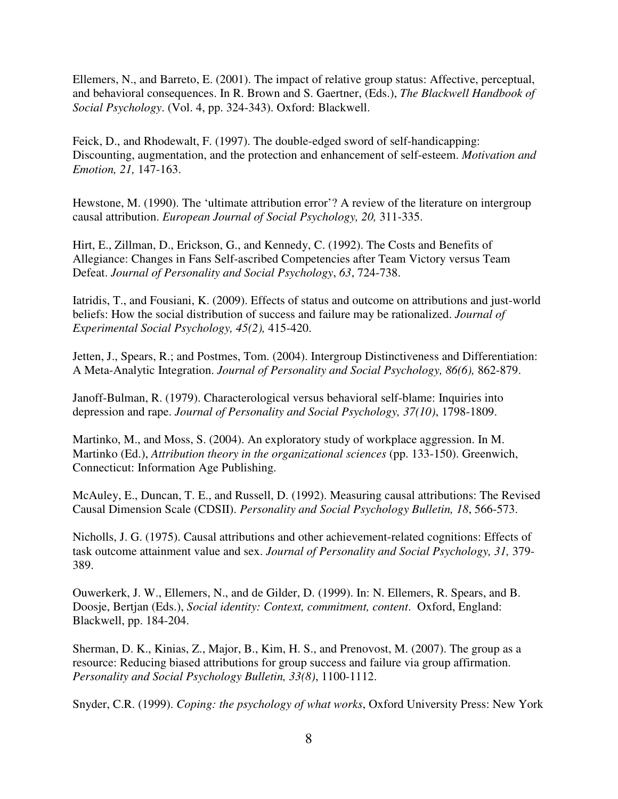Ellemers, N., and Barreto, E. (2001). The impact of relative group status: Affective, perceptual, and behavioral consequences. In R. Brown and S. Gaertner, (Eds.), *The Blackwell Handbook of Social Psychology*. (Vol. 4, pp. 324-343). Oxford: Blackwell.

Feick, D., and Rhodewalt, F. (1997). The double-edged sword of self-handicapping: Discounting, augmentation, and the protection and enhancement of self-esteem. *Motivation and Emotion, 21,* 147-163.

Hewstone, M. (1990). The 'ultimate attribution error'? A review of the literature on intergroup causal attribution. *European Journal of Social Psychology, 20,* 311-335.

Hirt, E., Zillman, D., Erickson, G., and Kennedy, C. (1992). The Costs and Benefits of Allegiance: Changes in Fans Self-ascribed Competencies after Team Victory versus Team Defeat. *Journal of Personality and Social Psychology*, *63*, 724-738.

Iatridis, T., and Fousiani, K. (2009). Effects of status and outcome on attributions and just-world beliefs: How the social distribution of success and failure may be rationalized. *Journal of Experimental Social Psychology, 45(2),* 415-420.

Jetten, J., Spears, R.; and Postmes, Tom. (2004). Intergroup Distinctiveness and Differentiation: A Meta-Analytic Integration. *Journal of Personality and Social Psychology, 86(6),* 862-879.

Janoff-Bulman, R. (1979). Characterological versus behavioral self-blame: Inquiries into depression and rape. *Journal of Personality and Social Psychology, 37(10)*, 1798-1809.

Martinko, M., and Moss, S. (2004). An exploratory study of workplace aggression. In M. Martinko (Ed.), *Attribution theory in the organizational sciences* (pp. 133-150). Greenwich, Connecticut: Information Age Publishing.

McAuley, E., Duncan, T. E., and Russell, D. (1992). Measuring causal attributions: The Revised Causal Dimension Scale (CDSII). *Personality and Social Psychology Bulletin, 18*, 566-573.

Nicholls, J. G. (1975). Causal attributions and other achievement-related cognitions: Effects of task outcome attainment value and sex. *Journal of Personality and Social Psychology, 31,* 379- 389.

Ouwerkerk, J. W., Ellemers, N., and de Gilder, D. (1999). In: N. Ellemers, R. Spears, and B. Doosje, Bertjan (Eds.), *Social identity: Context, commitment, content*. Oxford, England: Blackwell, pp. 184-204.

Sherman, D. K., Kinias, Z., Major, B., Kim, H. S., and Prenovost, M. (2007). The group as a resource: Reducing biased attributions for group success and failure via group affirmation. *Personality and Social Psychology Bulletin, 33(8)*, 1100-1112.

Snyder, C.R. (1999). *Coping: the psychology of what works*, Oxford University Press: New York